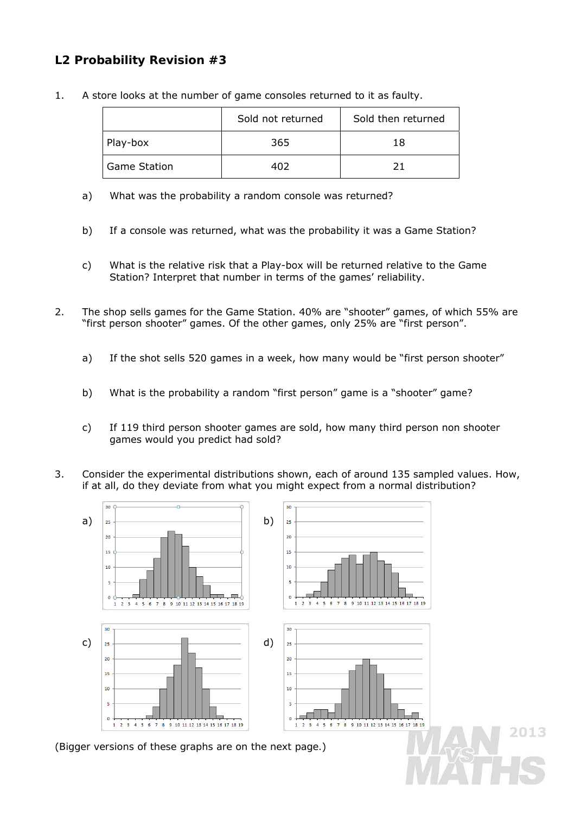## **L2 Probability Revision #3**

1. A store looks at the number of game consoles returned to it as faulty.

|                     | Sold not returned<br>Sold then returned |    |
|---------------------|-----------------------------------------|----|
| Play-box            | 365                                     | 18 |
| <b>Game Station</b> | 402                                     |    |

- a) What was the probability a random console was returned?
- b) If a console was returned, what was the probability it was a Game Station?
- c) What is the relative risk that a Play-box will be returned relative to the Game Station? Interpret that number in terms of the games' reliability.
- 2. The shop sells games for the Game Station. 40% are "shooter" games, of which 55% are "first person shooter" games. Of the other games, only 25% are "first person".
	- a) If the shot sells 520 games in a week, how many would be "first person shooter"
	- b) What is the probability a random "first person" game is a "shooter" game?
	- c) If 119 third person shooter games are sold, how many third person non shooter games would you predict had sold?
- 3. Consider the experimental distributions shown, each of around 135 sampled values. How, if at all, do they deviate from what you might expect from a normal distribution?



2013

(*Bigger versions of these graphs are on the next page.*)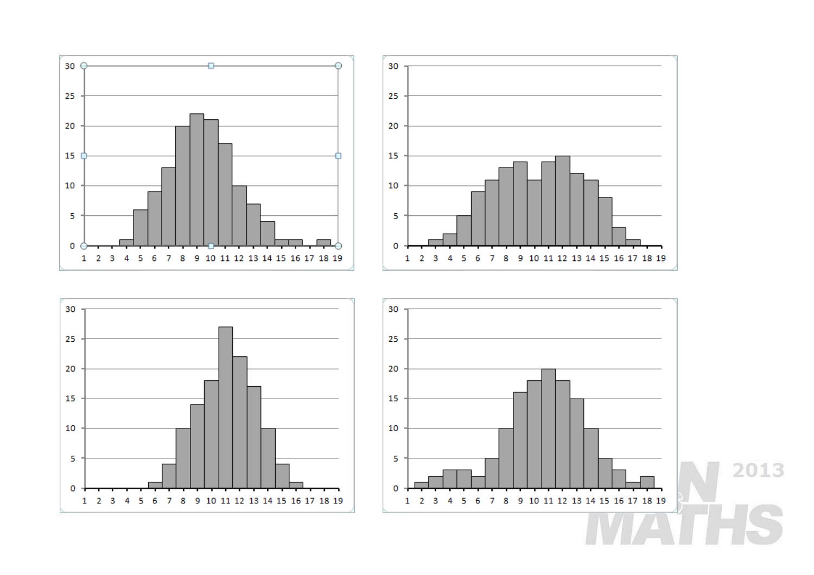